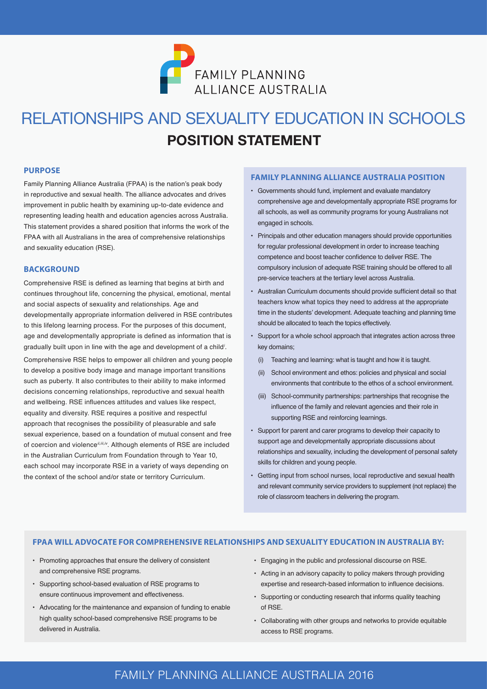

# **POSITION STATEMENT** RELATIONSHIPS AND SEXUALITY EDUCATION IN SCHOOLS

#### **PURPOSE**

Family Planning Alliance Australia (FPAA) is the nation's peak body in reproductive and sexual health. The alliance advocates and drives improvement in public health by examining up-to-date evidence and representing leading health and education agencies across Australia. This statement provides a shared position that informs the work of the FPAA with all Australians in the area of comprehensive relationships and sexuality education (RSE).

#### **BACKGROUND**

Comprehensive RSE is defined as learning that begins at birth and continues throughout life, concerning the physical, emotional, mental and social aspects of sexuality and relationships. Age and developmentally appropriate information delivered in RSE contributes to this lifelong learning process. For the purposes of this document, age and developmentally appropriate is defined as information that is gradually built upon in line with the age and development of a child*<sup>i</sup>* . Comprehensive RSE helps to empower all children and young people to develop a positive body image and manage important transitions such as puberty. It also contributes to their ability to make informed decisions concerning relationships, reproductive and sexual health and wellbeing. RSE influences attitudes and values like respect, equality and diversity. RSE requires a positive and respectful approach that recognises the possibility of pleasurable and safe sexual experience, based on a foundation of mutual consent and free of coercion and violence<sup>*ii,iii,iv*. Although elements of RSE are included</sup> in the Australian Curriculum from Foundation through to Year 10, each school may incorporate RSE in a variety of ways depending on

#### **FAMILY PLANNING ALLIANCE AUSTRALIA POSITION**

- Governments should fund, implement and evaluate mandatory comprehensive age and developmentally appropriate RSE programs for all schools, as well as community programs for young Australians not engaged in schools.
- Principals and other education managers should provide opportunities for regular professional development in order to increase teaching competence and boost teacher confidence to deliver RSE. The compulsory inclusion of adequate RSE training should be offered to all pre-service teachers at the tertiary level across Australia.
- Australian Curriculum documents should provide sufficient detail so that teachers know what topics they need to address at the appropriate time in the students' development. Adequate teaching and planning time should be allocated to teach the topics effectively.
- Support for a whole school approach that integrates action across three key domains;
	- (i) Teaching and learning: what is taught and how it is taught.
	- (ii) School environment and ethos: policies and physical and social environments that contribute to the ethos of a school environment.
	- (iii) School-community partnerships: partnerships that recognise the influence of the family and relevant agencies and their role in supporting RSE and reinforcing learnings.
- Support for parent and carer programs to develop their capacity to support age and developmentally appropriate discussions about relationships and sexuality, including the development of personal safety skills for children and young people.
- Getting input from school nurses, local reproductive and sexual health and relevant community service providers to supplement (not replace) the role of classroom teachers in delivering the program.

#### **FPAA WILL ADVOCATE FOR COMPREHENSIVE RELATIONSHIPS AND SEXUALITY EDUCATION IN AUSTRALIA BY:**

- Promoting approaches that ensure the delivery of consistent and comprehensive RSE programs.
- Supporting school-based evaluation of RSE programs to ensure continuous improvement and effectiveness.

the context of the school and/or state or territory Curriculum.

- Advocating for the maintenance and expansion of funding to enable high quality school-based comprehensive RSE programs to be delivered in Australia.
- Engaging in the public and professional discourse on RSE.
- Acting in an advisory capacity to policy makers through providing expertise and research-based information to influence decisions.
- Supporting or conducting research that informs quality teaching of RSE.
- Collaborating with other groups and networks to provide equitable access to RSE programs.

### 1 FAMILY PLANNING ALLIANCE AUSTRALIA 2016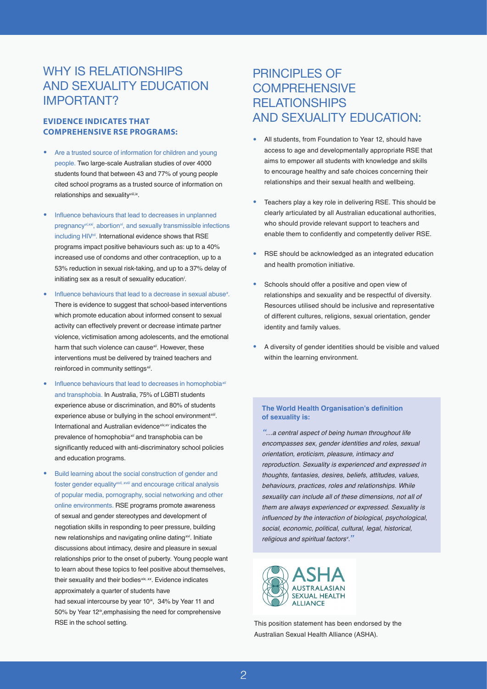### WHY IS RELATIONSHIPS AND SEXUALITY EDUCATION IMPORTANT?

#### **EVIDENCE INDICATES THAT COMPREHENSIVE RSE PROGRAMS:**

- Are a trusted source of information for children and young people. Two large-scale Australian studies of over 4000 students found that between 43 and 77% of young people cited school programs as a trusted source of information on relationships and sexuality*viii,ix*.
- Influence behaviours that lead to decreases in unplanned pregnancy*vi,xxi*, abortion*vi*, and sexually transmissible infections including HIV*vii*. International evidence shows that RSE programs impact positive behaviours such as: up to a 40% increased use of condoms and other contraception, up to a 53% reduction in sexual risk-taking, and up to a 37% delay of initiating sex as a result of sexuality education*<sup>i</sup>* .
- Influence behaviours that lead to a decrease in sexual abuse*<sup>x</sup>* . There is evidence to suggest that school-based interventions which promote education about informed consent to sexual activity can effectively prevent or decrease intimate partner violence, victimisation among adolescents, and the emotional harm that such violence can cause*xii*. However, these interventions must be delivered by trained teachers and reinforced in community settings*xii*.
- Influence behaviours that lead to decreases in homophobia*xii* and transphobia. In Australia, 75% of LGBTI students experience abuse or discrimination, and 80% of students experience abuse or bullying in the school environment*xiii*. International and Australian evidence*xiv,xv* indicates the prevalence of homophobia*xii* and transphobia can be significantly reduced with anti-discriminatory school policies and education programs.
- Build learning about the social construction of gender and foster gender equality*xvii, xviii* and encourage critical analysis of popular media, pornography, social networking and other online environments. RSE programs promote awareness of sexual and gender stereotypes and development of negotiation skills in responding to peer pressure, building new relationships and navigating online dating*xvi*. Initiate discussions about intimacy, desire and pleasure in sexual relationships prior to the onset of puberty. Young people want to learn about these topics to feel positive about themselves, their sexuality and their bodies*xix, xx*. Evidence indicates approximately a quarter of students have had sexual intercourse by year 10<sup>*ix*</sup>, 34% by Year 11 and

50% by Year 12*ix*,emphasising the need for comprehensive RSE in the school setting.

### PRINCIPLES OF **COMPREHENSIVE** RELATIONSHIPS AND SEXUALITY EDUCATION:

- All students, from Foundation to Year 12, should have access to age and developmentally appropriate RSE that aims to empower all students with knowledge and skills to encourage healthy and safe choices concerning their relationships and their sexual health and wellbeing.
- Teachers play a key role in delivering RSE. This should be clearly articulated by all Australian educational authorities, who should provide relevant support to teachers and enable them to confidently and competently deliver RSE.
- RSE should be acknowledged as an integrated education and health promotion initiative.
- Schools should offer a positive and open view of relationships and sexuality and be respectful of diversity. Resources utilised should be inclusive and representative of different cultures, religions, sexual orientation, gender identity and family values.
- A diversity of gender identities should be visible and valued within the learning environment.

#### **The World Health Organisation's definition of sexuality is:**

*"…a central aspect of being human throughout life encompasses sex, gender identities and roles, sexual orientation, eroticism, pleasure, intimacy and reproduction. Sexuality is experienced and expressed in thoughts, fantasies, desires, beliefs, attitudes, values, behaviours, practices, roles and relationships. While sexuality can include all of these dimensions, not all of them are always experienced or expressed. Sexuality is*  influenced by the interaction of biological, psychological, *social, economic, political, cultural, legal, historical, religious and spiritual factorsv ."*



This position statement has been endorsed by the Australian Sexual Health Alliance (ASHA).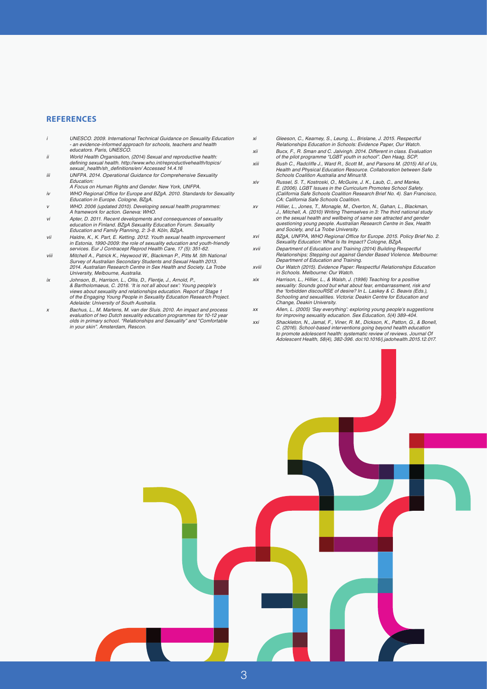#### **REFERENCES**

- *i UNESCO. 2009. International Technical Guidance on Sexuality Education - an evidence-informed approach for schools, teachers and health educators. Paris, UNESCO.*
- *ii World Health Organisation, (2014) Sexual and reproductive health:*  defining sexual health. http://www.who.int/reproductivehealth/topics/ sexual\_health/sh\_definitions/en/ Accessed 14.4.16
- *iii* UNFPA. 2014. Operational Guidance for Comprehensive Sexuality *Education:*
- A Focus on Human Rights and Gender. New York, UNFPA. *iv* WHO Regional Office for Europe and BZgA. 2010. Standards for Sexuality Education in Europe. Cologne, BZgA.
- *v* WHO. 2006 (updated 2010). Developing sexual health programmes: A framework for action. Geneva: WHO.
- *vi* Apter, D. 2011. Recent developments and consequences of sexuality education in Finland. BZgA Sexuality Education Forum. Sexuality Education and Family Planning, 2: 3-8. Köln, BZgA.
- *vii* Haldre, K., K. Part, E. Ketting. 2012. Youth sexual health improvement *in Estonia, 1990-2009: the role of sexuality education and youth-friendly*  services. Eur J Contracept Reprod Health Care, 17 (5): 351-62.
- viii Mitchell A., Patrick K., Heywood W., Blackman P., Pitts M. 5th National<br>Survey of Australian Secondary Students and Sexual Health 2013.<br>2014. Australian Research Centre in Sex Health and Society. La Trobe University, Melbourne, Australia.
- *ix* Johnson, B., Harrison, L., Ollis, D., Flentje, J., Arnold, P., & Bartholomaeus, C. 2016. 'It is not all about sex': Young people's views about sexuality and relationships education. Report of Stage 1 of the Engaging Young People in Sexuality Education Research Project. Adelaide: University of South Australia.
- *x* Bachus, L., M. Martens, M. van der Sluis. 2010. An impact and process evaluation of two Dutch sexuality education programmes for 10-12 year olds in primary school. "Relationships and Sexuality" and "Comfortable in your skin". Amsterdam, Rescon.
- *xi* Gleeson, C., Kearney, S., Leung, L., Brislane, J. 2015. Respectful Relationships Education in Schools: Evidence Paper, Our Watch.
- *xii* Bucx, F., R. Sman and C. Jalvingh. 2014. Different in class. Evaluation of the pilot programme "LGBT youth in school". Den Haag, SCP.
- *xiii* Bush C., Radcliffe J., Ward R., Scott M., and Parsons M. (2015) All of Us, Health and Physical Education Resource. Collaboration between Safe Schools Coalition Australia and Minus18.
- *xiv* Russel, S. T., Kostroski, O., McGuire, J. K., Laub, C., and Manke, E. (2006). LGBT Issues in the Curriculum Promotes School Safety. (California Safe Schools Coalition Research Brief No. 4). San Francisco, CA: California Safe Schools Coalition.
- *xv* Hillier, L., Jones, T., Monagle, M., Overton, N., Gahan, L., Blackman, J., Mitchell, A. (2010) Writing Themselves in 3: The third national study *on the sexual health and wellbeing of same sex attracted and gender*  questioning young people. Australian Research Centre in Sex, Health and Society, and La Trobe University.
- *xvi* BZgA, UNFPA, WHO Regional Office for Europe. 2015. Policy Brief No. 2. Sexuality Education: What Is Its Impact? Cologne, BZgA.
- *xvii* Department of Education and Training (2014) Building Respectful Relationships; Stepping out against Gender Based Violence. Melbourne: Department of Education and Training.
- *xviii* Our Watch (2015). Evidence Paper: Respectful Relationships Education *in Schools. Melbourne: Our Watch.*
- *xix* Harrison, L., Hillier, L., & Walsh, J. (1996) Teaching for a positive sexuality: Sounds good but what about fear, embarrassment, risk and the 'forbidden discouRSE of desire? In L. Laskey & C. Beavis (Eds.), Schooling and sexualities. Victoria: Deakin Centre for Education and Change, Deakin University.
- *xx* Allen, L. (2005) 'Say everything': exploring young people's suggestions for improving sexuality education. Sex Education, 5(4) 389-404.
- *xxi* Shackleton, N., Jamal, F., Viner, R. M., Dickson, K., Patton, G., & Bonell, C. (2016). School-based interventions going beyond health education *to promote adolescent health: systematic review of reviews. Journal Of*  Adolescent Health, 58(4), 382-396. doi:10.1016/j.jadohealth.2015.12.017.